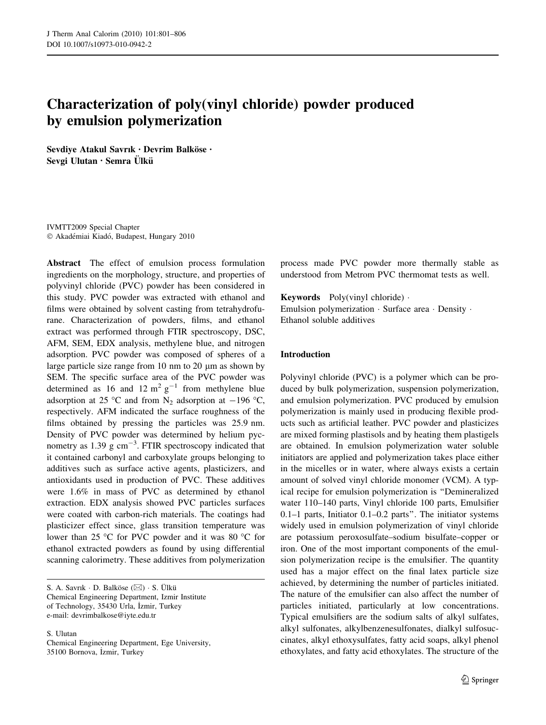# Characterization of poly(vinyl chloride) powder produced by emulsion polymerization

Sevdiye Atakul Savrık · Devrim Balköse · Sevgi Ulutan · Semra Ülkü

IVMTT2009 Special Chapter © Akadémiai Kiadó, Budapest, Hungary 2010

Abstract The effect of emulsion process formulation ingredients on the morphology, structure, and properties of polyvinyl chloride (PVC) powder has been considered in this study. PVC powder was extracted with ethanol and films were obtained by solvent casting from tetrahydrofurane. Characterization of powders, films, and ethanol extract was performed through FTIR spectroscopy, DSC, AFM, SEM, EDX analysis, methylene blue, and nitrogen adsorption. PVC powder was composed of spheres of a large particle size range from 10 nm to 20  $\mu$ m as shown by SEM. The specific surface area of the PVC powder was determined as 16 and 12  $m^2 g^{-1}$  from methylene blue adsorption at 25 °C and from N<sub>2</sub> adsorption at  $-196$  °C, respectively. AFM indicated the surface roughness of the films obtained by pressing the particles was 25.9 nm. Density of PVC powder was determined by helium pycnometry as  $1.39 \text{ g cm}^{-3}$ . FTIR spectroscopy indicated that it contained carbonyl and carboxylate groups belonging to additives such as surface active agents, plasticizers, and antioxidants used in production of PVC. These additives were 1.6% in mass of PVC as determined by ethanol extraction. EDX analysis showed PVC particles surfaces were coated with carbon-rich materials. The coatings had plasticizer effect since, glass transition temperature was lower than 25 °C for PVC powder and it was 80 °C for ethanol extracted powders as found by using differential scanning calorimetry. These additives from polymerization

S. Ulutan

Chemical Engineering Department, Ege University, 35100 Bornova, İzmir, Turkey

process made PVC powder more thermally stable as understood from Metrom PVC thermomat tests as well.

Keywords Poly(vinyl chloride) - Emulsion polymerization - Surface area - Density - Ethanol soluble additives

# Introduction

Polyvinyl chloride (PVC) is a polymer which can be produced by bulk polymerization, suspension polymerization, and emulsion polymerization. PVC produced by emulsion polymerization is mainly used in producing flexible products such as artificial leather. PVC powder and plasticizes are mixed forming plastisols and by heating them plastigels are obtained. In emulsion polymerization water soluble initiators are applied and polymerization takes place either in the micelles or in water, where always exists a certain amount of solved vinyl chloride monomer (VCM). A typical recipe for emulsion polymerization is ''Demineralized water 110–140 parts, Vinyl chloride 100 parts, Emulsifier 0.1–1 parts, Initiator 0.1–0.2 parts''. The initiator systems widely used in emulsion polymerization of vinyl chloride are potassium peroxosulfate–sodium bisulfate–copper or iron. One of the most important components of the emulsion polymerization recipe is the emulsifier. The quantity used has a major effect on the final latex particle size achieved, by determining the number of particles initiated. The nature of the emulsifier can also affect the number of particles initiated, particularly at low concentrations. Typical emulsifiers are the sodium salts of alkyl sulfates, alkyl sulfonates, alkylbenzenesulfonates, dialkyl sulfosuccinates, alkyl ethoxysulfates, fatty acid soaps, alkyl phenol ethoxylates, and fatty acid ethoxylates. The structure of the

S. A. Savrık · D. Balköse ( $\boxtimes$ ) · S. Ülkü Chemical Engineering Department, Izmir Institute of Technology, 35430 Urla, İzmir, Turkey e-mail: devrimbalkose@iyte.edu.tr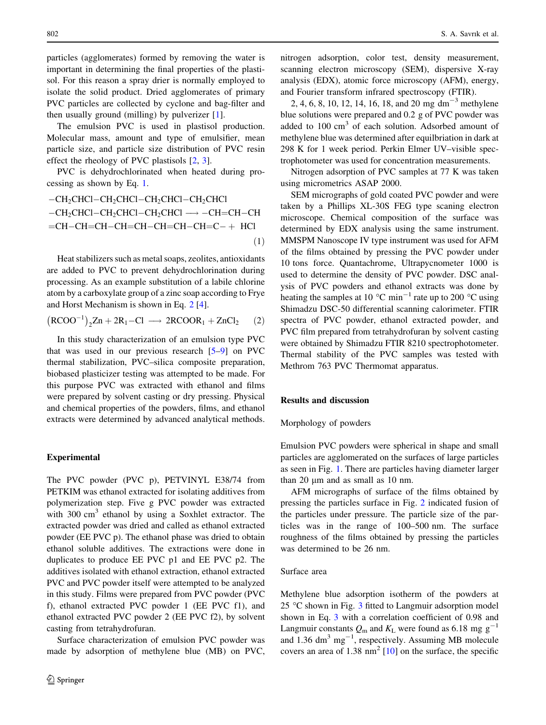particles (agglomerates) formed by removing the water is important in determining the final properties of the plastisol. For this reason a spray drier is normally employed to isolate the solid product. Dried agglomerates of primary PVC particles are collected by cyclone and bag-filter and then usually ground (milling) by pulverizer [\[1](#page-4-0)].

The emulsion PVC is used in plastisol production. Molecular mass, amount and type of emulsifier, mean particle size, and particle size distribution of PVC resin effect the rheology of PVC plastisols [[2,](#page-4-0) [3\]](#page-5-0).

PVC is dehydrochlorinated when heated during processing as shown by Eq. 1.

$$
-CH_2CHCl-CH_2CHCl-CH_2CHCl-CH_2CHCl
$$
  
-CH\_2CHCl-CH\_2CHCl-CH\_2CHCl  $\longrightarrow$  -CH=CH-CH  
=CH-CH=CH-CH=CH-CH=CH-CH=C+ HCI  
(1)

Heat stabilizers such as metal soaps, zeolites, antioxidants are added to PVC to prevent dehydrochlorination during processing. As an example substitution of a labile chlorine atom by a carboxylate group of a zinc soap according to Frye and Horst Mechanism is shown in Eq. 2 [\[4](#page-5-0)].

$$
(RCOO^{-1})_2 Zn + 2R_1 - Cl \longrightarrow 2RCOOR_1 + ZnCl_2 \qquad (2)
$$

In this study characterization of an emulsion type PVC that was used in our previous research [[5–9](#page-5-0)] on PVC thermal stabilization, PVC–silica composite preparation, biobased plasticizer testing was attempted to be made. For this purpose PVC was extracted with ethanol and films were prepared by solvent casting or dry pressing. Physical and chemical properties of the powders, films, and ethanol extracts were determined by advanced analytical methods.

#### Experimental

The PVC powder (PVC p), PETVINYL E38/74 from PETKIM was ethanol extracted for isolating additives from polymerization step. Five g PVC powder was extracted with  $300 \text{ cm}^3$  ethanol by using a Soxhlet extractor. The extracted powder was dried and called as ethanol extracted powder (EE PVC p). The ethanol phase was dried to obtain ethanol soluble additives. The extractions were done in duplicates to produce EE PVC p1 and EE PVC p2. The additives isolated with ethanol extraction, ethanol extracted PVC and PVC powder itself were attempted to be analyzed in this study. Films were prepared from PVC powder (PVC f), ethanol extracted PVC powder 1 (EE PVC f1), and ethanol extracted PVC powder 2 (EE PVC f2), by solvent casting from tetrahydrofuran.

Surface characterization of emulsion PVC powder was made by adsorption of methylene blue (MB) on PVC, nitrogen adsorption, color test, density measurement, scanning electron microscopy (SEM), dispersive X-ray analysis (EDX), atomic force microscopy (AFM), energy, and Fourier transform infrared spectroscopy (FTIR).

2, 4, 6, 8, 10, 12, 14, 16, 18, and 20 mg dm<sup>-3</sup> methylene blue solutions were prepared and 0.2 g of PVC powder was added to 100 cm<sup>3</sup> of each solution. Adsorbed amount of methylene blue was determined after equilbriation in dark at 298 K for 1 week period. Perkin Elmer UV–visible spectrophotometer was used for concentration measurements.

Nitrogen adsorption of PVC samples at 77 K was taken using micrometrics ASAP 2000.

SEM micrographs of gold coated PVC powder and were taken by a Phillips XL-30S FEG type scaning electron microscope. Chemical composition of the surface was determined by EDX analysis using the same instrument. MMSPM Nanoscope IV type instrument was used for AFM of the films obtained by pressing the PVC powder under 10 tons force. Quantachrome, Ultrapycnometer 1000 is used to determine the density of PVC powder. DSC analysis of PVC powders and ethanol extracts was done by heating the samples at 10  $^{\circ}$ C min<sup>-1</sup> rate up to 200  $^{\circ}$ C using Shimadzu DSC-50 differential scanning calorimeter. FTIR spectra of PVC powder, ethanol extracted powder, and PVC film prepared from tetrahydrofuran by solvent casting were obtained by Shimadzu FTIR 8210 spectrophotometer. Thermal stability of the PVC samples was tested with Methrom 763 PVC Thermomat apparatus.

# Results and discussion

#### Morphology of powders

Emulsion PVC powders were spherical in shape and small particles are agglomerated on the surfaces of large particles as seen in Fig. [1.](#page-2-0) There are particles having diameter larger than  $20 \mu m$  and as small as  $10 \text{ nm}$ .

AFM micrographs of surface of the films obtained by pressing the particles surface in Fig. [2](#page-2-0) indicated fusion of the particles under pressure. The particle size of the particles was in the range of 100–500 nm. The surface roughness of the films obtained by pressing the particles was determined to be 26 nm.

## Surface area

Methylene blue adsorption isotherm of the powders at 25  $\degree$ C shown in Fig. [3](#page-2-0) fitted to Langmuir adsorption model shown in Eq. [3](#page-2-0) with a correlation coefficient of 0.98 and Langmuir constants  $Q_m$  and  $K_L$  were found as 6.18 mg g<sup>-1</sup> and  $1.36 \text{ dm}^3 \text{ mg}^{-1}$ , respectively. Assuming MB molecule covers an area of 1.38  $\text{nm}^2$  [[10\]](#page-5-0) on the surface, the specific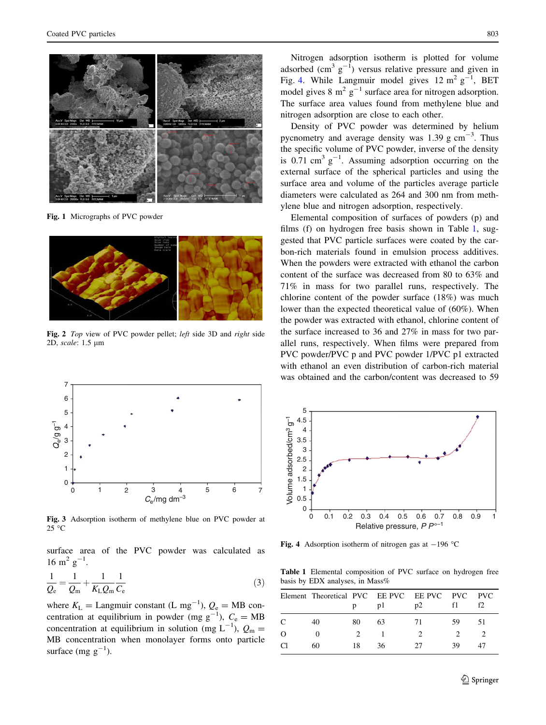<span id="page-2-0"></span>

Fig. 1 Micrographs of PVC powder



Fig. 2 Top view of PVC powder pellet; left side 3D and right side 2D, scale: 1.5 µm



Fig. 3 Adsorption isotherm of methylene blue on PVC powder at  $25^{\circ}$ C

surface area of the PVC powder was calculated as 16 m<sup>2</sup>  $g^{-1}$ .

$$
\frac{1}{Q_{e}} = \frac{1}{Q_{m}} + \frac{1}{K_{L}Q_{m}} \frac{1}{C_{e}}
$$
\n(3)

where  $K_{\text{L}} =$  Langmuir constant (L mg<sup>-1</sup>),  $Q_{\text{e}} = \text{MB}$  concentration at equilibrium in powder (mg  $g^{-1}$ ),  $C_e = MB$ concentration at equilibrium in solution (mg  $L^{-1}$ ),  $Q_m =$ MB concentration when monolayer forms onto particle surface  $(mg g^{-1})$ .

Nitrogen adsorption isotherm is plotted for volume adsorbed  $\text{ (cm}^3 \text{ g}^{-1})$  versus relative pressure and given in Fig. 4. While Langmuir model gives  $12 \text{ m}^2 \text{ g}^{-1}$ , BET model gives 8  $m^2$  g<sup>-1</sup> surface area for nitrogen adsorption. The surface area values found from methylene blue and nitrogen adsorption are close to each other.

Density of PVC powder was determined by helium pycnometry and average density was  $1.39$  g cm<sup>-3</sup>. Thus the specific volume of PVC powder, inverse of the density is 0.71 cm<sup>3</sup>  $g^{-1}$ . Assuming adsorption occurring on the external surface of the spherical particles and using the surface area and volume of the particles average particle diameters were calculated as 264 and 300 nm from methylene blue and nitrogen adsorption, respectively.

Elemental composition of surfaces of powders (p) and films (f) on hydrogen free basis shown in Table 1, suggested that PVC particle surfaces were coated by the carbon-rich materials found in emulsion process additives. When the powders were extracted with ethanol the carbon content of the surface was decreased from 80 to 63% and 71% in mass for two parallel runs, respectively. The chlorine content of the powder surface (18%) was much lower than the expected theoretical value of (60%). When the powder was extracted with ethanol, chlorine content of the surface increased to 36 and 27% in mass for two parallel runs, respectively. When films were prepared from PVC powder/PVC p and PVC powder 1/PVC p1 extracted with ethanol an even distribution of carbon-rich material was obtained and the carbon/content was decreased to 59



Fig. 4 Adsorption isotherm of nitrogen gas at  $-196$  °C

Table 1 Elemental composition of PVC surface on hydrogen free basis by EDX analyses, in Mass%

|               | Element Theoretical PVC EE PVC EE PVC PVC PVC |    | p1 | D2 |    | f2 |
|---------------|-----------------------------------------------|----|----|----|----|----|
| $\mathcal{C}$ | 40                                            | 80 | 63 | 71 | 59 | 51 |
| O             |                                               |    |    |    |    |    |
| Π             | 60                                            | 18 | 36 | 27 | 30 |    |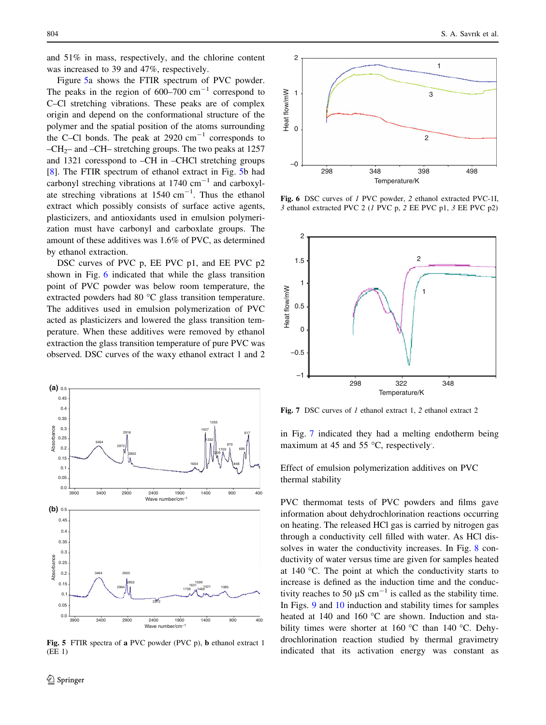and 51% in mass, respectively, and the chlorine content was increased to 39 and 47%, respectively.

Figure 5a shows the FTIR spectrum of PVC powder. The peaks in the region of  $600-700$  cm<sup>-1</sup> correspond to C–Cl stretching vibrations. These peaks are of complex origin and depend on the conformational structure of the polymer and the spatial position of the atoms surrounding the C–Cl bonds. The peak at  $2920 \text{ cm}^{-1}$  corresponds to –CH<sub>2</sub>– and –CH– stretching groups. The two peaks at 1257 and 1321 coresspond to –CH in –CHCl stretching groups [\[8](#page-5-0)]. The FTIR spectrum of ethanol extract in Fig. 5b had carbonyl streching vibrations at  $1740 \text{ cm}^{-1}$  and carboxylate streching vibrations at  $1540 \text{ cm}^{-1}$ . Thus the ethanol extract which possibly consists of surface active agents, plasticizers, and antioxidants used in emulsion polymerization must have carbonyl and carboxlate groups. The amount of these additives was 1.6% of PVC, as determined by ethanol extraction.

DSC curves of PVC p, EE PVC p1, and EE PVC p2 shown in Fig. 6 indicated that while the glass transition point of PVC powder was below room temperature, the extracted powders had 80 $\degree$ C glass transition temperature. The additives used in emulsion polymerization of PVC acted as plasticizers and lowered the glass transition temperature. When these additives were removed by ethanol extraction the glass transition temperature of pure PVC was observed. DSC curves of the waxy ethanol extract 1 and 2



Fig. 5 FTIR spectra of a PVC powder (PVC p), b ethanol extract 1 (EE 1)



Fig. 6 DSC curves of 1 PVC powder, 2 ethanol extracted PVC-1I, 3 ethanol extracted PVC 2 (1 PVC p, 2 EE PVC p1, 3 EE PVC p2)



Fig. 7 DSC curves of 1 ethanol extract 1, 2 ethanol extract 2

in Fig. 7 indicated they had a melting endotherm being maximum at 45 and 55  $^{\circ}$ C, respectively.

Effect of emulsion polymerization additives on PVC thermal stability

PVC thermomat tests of PVC powders and films gave information about dehydrochlorination reactions occurring on heating. The released HCl gas is carried by nitrogen gas through a conductivity cell filled with water. As HCl dissolves in water the conductivity increases. In Fig. [8](#page-4-0) conductivity of water versus time are given for samples heated at 140  $^{\circ}$ C. The point at which the conductivity starts to increase is defined as the induction time and the conductivity reaches to 50  $\mu$ S cm<sup>-1</sup> is called as the stability time. In Figs. [9](#page-4-0) and [10](#page-4-0) induction and stability times for samples heated at 140 and 160 °C are shown. Induction and stability times were shorter at 160  $\degree$ C than 140  $\degree$ C. Dehydrochlorination reaction studied by thermal gravimetry indicated that its activation energy was constant as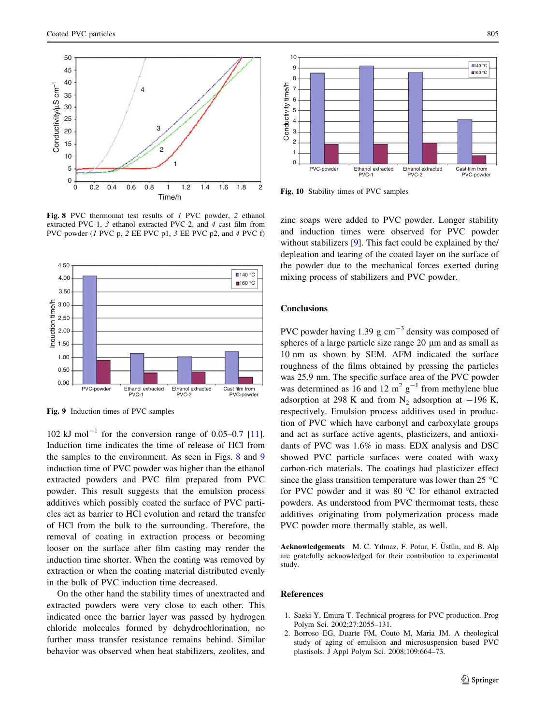<span id="page-4-0"></span>

Fig. 8 PVC thermomat test results of 1 PVC powder, 2 ethanol extracted PVC-1, 3 ethanol extracted PVC-2, and 4 cast film from PVC powder (1 PVC p, 2 EE PVC p1, 3 EE PVC p2, and 4 PVC f)



Fig. 9 Induction times of PVC samples

102 kJ mol<sup>-1</sup> for the conversion range of 0.05-0.7 [\[11](#page-5-0)]. Induction time indicates the time of release of HCl from the samples to the environment. As seen in Figs. 8 and 9 induction time of PVC powder was higher than the ethanol extracted powders and PVC film prepared from PVC powder. This result suggests that the emulsion process additives which possibly coated the surface of PVC particles act as barrier to HCl evolution and retard the transfer of HCl from the bulk to the surrounding. Therefore, the removal of coating in extraction process or becoming looser on the surface after film casting may render the induction time shorter. When the coating was removed by extraction or when the coating material distributed evenly in the bulk of PVC induction time decreased.

On the other hand the stability times of unextracted and extracted powders were very close to each other. This indicated once the barrier layer was passed by hydrogen chloride molecules formed by dehydrochlorination, no further mass transfer resistance remains behind. Similar behavior was observed when heat stabilizers, zeolites, and



Fig. 10 Stability times of PVC samples

zinc soaps were added to PVC powder. Longer stability and induction times were observed for PVC powder without stabilizers [\[9](#page-5-0)]. This fact could be explained by the/ depleation and tearing of the coated layer on the surface of the powder due to the mechanical forces exerted during mixing process of stabilizers and PVC powder.

## **Conclusions**

PVC powder having 1.39 g  $cm^{-3}$  density was composed of spheres of a large particle size range 20  $\mu$ m and as small as 10 nm as shown by SEM. AFM indicated the surface roughness of the films obtained by pressing the particles was 25.9 nm. The specific surface area of the PVC powder was determined as 16 and 12  $m^2$  g<sup>-1</sup> from methylene blue adsorption at 298 K and from  $N_2$  adsorption at -196 K, respectively. Emulsion process additives used in production of PVC which have carbonyl and carboxylate groups and act as surface active agents, plasticizers, and antioxidants of PVC was 1.6% in mass. EDX analysis and DSC showed PVC particle surfaces were coated with waxy carbon-rich materials. The coatings had plasticizer effect since the glass transition temperature was lower than 25  $^{\circ}$ C for PVC powder and it was  $80^{\circ}$ C for ethanol extracted powders. As understood from PVC thermomat tests, these additives originating from polymerization process made PVC powder more thermally stable, as well.

Acknowledgements M. C. Yılmaz, F. Potur, F. Üstün, and B. Alp are gratefully acknowledged for their contribution to experimental study.

## References

- 1. Saeki Y, Emura T. Technical progress for PVC production. Prog Polym Sci. 2002;27:2055–131.
- 2. Borroso EG, Duarte FM, Couto M, Maria JM. A rheological study of aging of emulsion and microsuspension based PVC plastisols. J Appl Polym Sci. 2008;109:664–73.